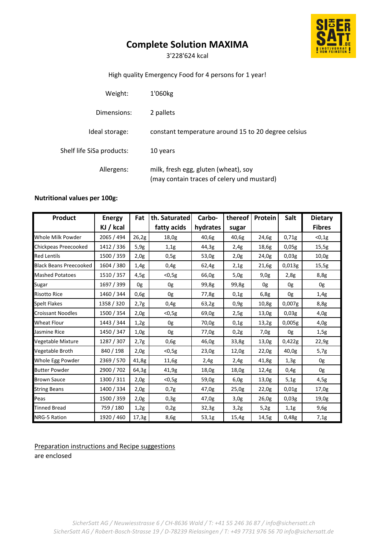# **Complete Solution MAXIMA**

3'228'624 kcal

## High quality Emergency Food for 4 persons for 1 year!

| Weight:                   | 1'060kg                                                                            |
|---------------------------|------------------------------------------------------------------------------------|
| Dimensions:               | 2 pallets                                                                          |
| Ideal storage:            | constant temperature around 15 to 20 degree celsius                                |
| Shelf life SiSa products: | 10 years                                                                           |
| Allergens:                | milk, fresh egg, gluten (wheat), soy<br>(may contain traces of celery und mustard) |

### **Nutritional values per 100g:**

| <b>Product</b>                | <b>Energy</b> | Fat   | th. Saturated | Carbo-   | thereof | Protein | Salt   | <b>Dietary</b> |
|-------------------------------|---------------|-------|---------------|----------|---------|---------|--------|----------------|
|                               | KJ / kcal     |       | fatty acids   | hydrates | sugar   |         |        | <b>Fibres</b>  |
| Whole Milk Powder             | 2065 / 494    | 26,2g | 18,0g         | 40,6g    | 40,6g   | 24,6g   | 0,71g  | $<$ 0,1g       |
| Chickpeas Preecooked          | 1412 / 336    | 5,9g  | 1,1g          | 44,3g    | 2,4g    | 18,6g   | 0,05g  | 15,5g          |
| <b>Red Lentils</b>            | 1500 / 359    | 2,0g  | 0,5g          | 53,0g    | 2,0g    | 24,0g   | 0,03g  | 10,0g          |
| <b>Black Beans Preecooked</b> | 1604 / 380    | 1,4g  | 0,4g          | 62,4g    | 2,1g    | 21,6g   | 0,013g | 15,5g          |
| <b>Mashed Potatoes</b>        | 1510 / 357    | 4,5g  | $<$ 0,5g      | 66,0g    | 5,0g    | 9,0g    | 2,8g   | 8,8g           |
| Sugar                         | 1697 / 399    | 0g    | 0g            | 99,8g    | 99,8g   | 0g      | 0g     | 0g             |
| <b>Risotto Rice</b>           | 1460 / 344    | 0,6g  | 0g            | 77,8g    | 0,1g    | 6,8g    | 0g     | 1,4g           |
| <b>Spelt Flakes</b>           | 1358 / 320    | 2,7g  | 0,4g          | 63,2g    | 0,9g    | 10,8g   | 0,007g | 8,8g           |
| <b>Croissant Noodles</b>      | 1500 / 354    | 2,0g  | $0,5g$        | 69,0g    | 2,5g    | 13,0g   | 0,03g  | 4,0g           |
| <b>Wheat Flour</b>            | 1443 / 344    | 1,2g  | 0g            | 70,0g    | 0,1g    | 13,2g   | 0,005g | 4,0g           |
| Jasmine Rice                  | 1450 / 347    | 1,0g  | 0g            | 77,0g    | 0,2g    | 7,0g    | 0g     | 1,5g           |
| Vegetable Mixture             | 1287 / 307    | 2,7g  | 0,6g          | 46,0g    | 33,8g   | 13,0g   | 0,422g | 22,9g          |
| Vegetable Broth               | 840 / 198     | 2,0g  | $<$ 0,5g      | 23,0g    | 12,0g   | 22,0g   | 40,0g  | 5,7g           |
| Whole Egg Powder              | 2369 / 570    | 41,8g | 11,6g         | 2,4g     | 2,4g    | 41,8g   | 1,3g   | 0g             |
| <b>Butter Powder</b>          | 2900 / 702    | 64,3g | 41,9g         | 18,0g    | 18,0g   | 12,4g   | 0.4g   | 0g             |
| <b>Brown Sauce</b>            | 1300 / 311    | 2,0g  | $<$ 0,5g      | 59,0g    | 6,0g    | 13,0g   | 5,1g   | 4,5g           |
| <b>String Beans</b>           | 1400 / 334    | 2,0g  | 0,7g          | 47,0g    | 25,0g   | 22,0g   | 0,01g  | 17,0g          |
| Peas                          | 1500 / 359    | 2,0g  | 0,3g          | 47,0g    | 3,0g    | 26,0g   | 0.03g  | 19,0g          |
| <b>Tinned Bread</b>           | 759 / 180     | 1,2g  | 0,2g          | 32,3g    | 3,2g    | 5,2g    | 1,1g   | 9,6g           |
| NRG-5 Ration                  | 1920 / 460    | 17,3g | 8,6g          | 53,1g    | 15,4g   | 14,5g   | 0,48g  | 7,1g           |

Preparation instructions and Recipe suggestions are enclosed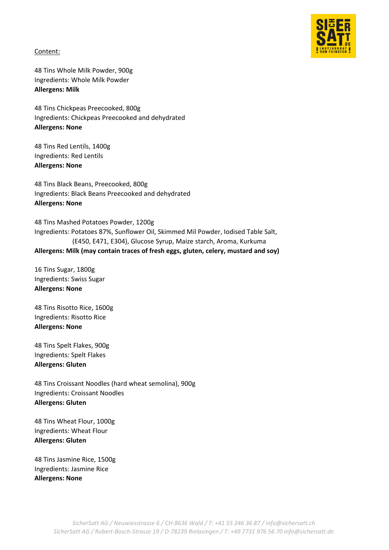

Content:

48 Tins Whole Milk Powder, 900g Ingredients: Whole Milk Powder **Allergens: Milk**

48 Tins Chickpeas Preecooked, 800g Ingredients: Chickpeas Preecooked and dehydrated **Allergens: None**

48 Tins Red Lentils, 1400g Ingredients: Red Lentils **Allergens: None**

48 Tins Black Beans, Preecooked, 800g Ingredients: Black Beans Preecooked and dehydrated **Allergens: None**

48 Tins Mashed Potatoes Powder, 1200g Ingredients: Potatoes 87%, Sunflower Oil, Skimmed Mil Powder, Iodised Table Salt, (E450, E471, E304), Glucose Syrup, Maize starch, Aroma, Kurkuma **Allergens: Milk (may contain traces of fresh eggs, gluten, celery, mustard and soy)** 

16 Tins Sugar, 1800g Ingredients: Swiss Sugar **Allergens: None**

48 Tins Risotto Rice, 1600g Ingredients: Risotto Rice **Allergens: None**

48 Tins Spelt Flakes, 900g Ingredients: Spelt Flakes **Allergens: Gluten**

48 Tins Croissant Noodles (hard wheat semolina), 900g Ingredients: Croissant Noodles **Allergens: Gluten**

48 Tins Wheat Flour, 1000g Ingredients: Wheat Flour **Allergens: Gluten**

48 Tins Jasmine Rice, 1500g Ingredients: Jasmine Rice **Allergens: None**